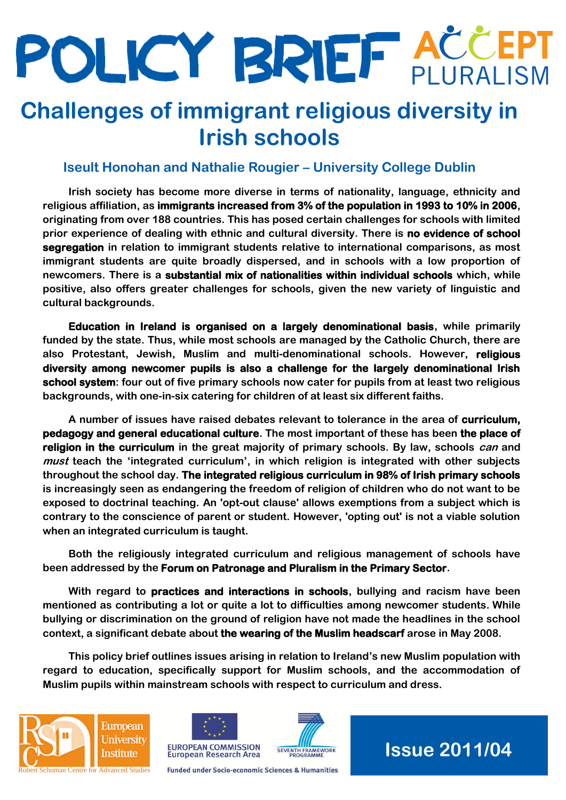# POLICY BRIEF ACCEPT

## **Challenges of immigrant religious diversity in Irish schools**

#### **Iseult Honohan and Nathalie Rougier – University College Dublin**

**Irish society has become more diverse in terms of nationality, language, ethnicity and religious affiliation, as immigrants increased from 3% of the population in 1993 to 10% in 2006, originating from over 188 countries. This has posed certain challenges for schools with limited prior experience of dealing with ethnic and cultural diversity. There is no evidence of school segregation in relation to immigrant students relative to international comparisons, as most immigrant students are quite broadly dispersed, and in schools with a low proportion of newcomers. There is a substantial mix of nationalities within individual schools which, while positive, also offers greater challenges for schools, given the new variety of linguistic and cultural backgrounds.** 

**Education in Ireland is organised on a largely denominational basis, while primarily funded by the state. Thus, while most schools are managed by the Catholic Church, there are also Protestant, Jewish, Muslim and multi-denominational schools. However, religious diversity among newcomer pupils is also a challenge for the largely denominational Irish school system: four out of five primary schools now cater for pupils from at least two religious backgrounds, with one-in-six catering for children of at least six different faiths.** 

**A number of issues have raised debates relevant to tolerance in the area of curriculum, pedagogy and general educational culture. The most important of these has been the place of religion in the curriculum in the great majority of primary schools. By law, schools can and must teach the 'integrated curriculum', in which religion is integrated with other subjects throughout the school day. The integrated religious curriculum in 98% of Irish primary schools is increasingly seen as endangering the freedom of religion of children who do not want to be exposed to doctrinal teaching. An 'opt-out clause' allows exemptions from a subject which is contrary to the conscience of parent or student. However, 'opting out' is not a viable solution when an integrated curriculum is taught.** 

**Both the religiously integrated curriculum and religious management of schools have been addressed by the Forum on Patronage and Pluralism in the Primary Sector.** 

**With regard to practices and interactions in schools, bullying and racism have been mentioned as contributing a lot or quite a lot to difficulties among newcomer students. While bullying or discrimination on the ground of religion have not made the headlines in the school context, a significant debate about the wearing of the Muslim headscarf arose in May 2008.** 

**This policy brief outlines issues arising in relation to Ireland's new Muslim population with regard to education, specifically support for Muslim schools, and the accommodation of Muslim pupils within mainstream schools with respect to curriculum and dress.**







**Funded under Socio-economic Sciences & Humanities** 

**Issue 2011/04**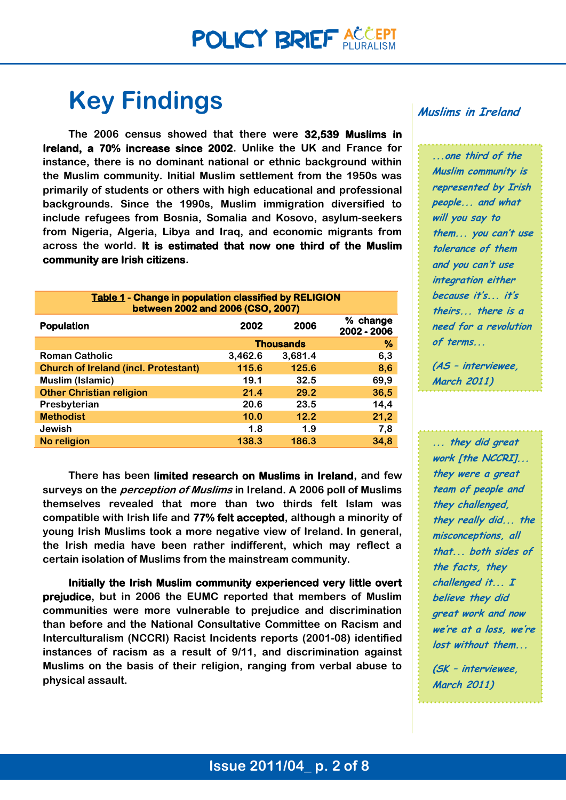## **Key Findings**

**The 2006 census showed that there were 32,539 Muslims in Ireland, a 70% increase since 2002. Unlike the UK and France for instance, there is no dominant national or ethnic background within the Muslim community. Initial Muslim settlement from the 1950s was primarily of students or others with high educational and professional backgrounds. Since the 1990s, Muslim immigration diversified to include refugees from Bosnia, Somalia and Kosovo, asylum-seekers from Nigeria, Algeria, Libya and Iraq, and economic migrants from across the world. It is estimated that now one third of the Muslim community are Irish citizens.**

| <b>Table 1 - Change in population classified by RELIGION</b><br>between 2002 and 2006 (CSO, 2007) |                       |         |                         |
|---------------------------------------------------------------------------------------------------|-----------------------|---------|-------------------------|
| <b>Population</b>                                                                                 | 2002                  | 2006    | % change<br>2002 - 2006 |
|                                                                                                   | %<br><b>Thousands</b> |         |                         |
| <b>Roman Catholic</b>                                                                             | 3,462.6               | 3,681.4 | 6,3                     |
| <b>Church of Ireland (incl. Protestant)</b>                                                       | 115.6                 | 125.6   | 8,6                     |
| Muslim (Islamic)                                                                                  | 19.1                  | 32.5    | 69,9                    |
| <b>Other Christian religion</b>                                                                   | 21.4                  | 29.2    | 36,5                    |
| Presbyterian                                                                                      | 20.6                  | 23.5    | 14,4                    |
| <b>Methodist</b>                                                                                  | 10.0                  | 12.2    | 21,2                    |
| Jewish                                                                                            | 1.8                   | 1.9     | 7,8                     |
| No religion                                                                                       | 138.3                 | 186.3   | 34.8                    |

**There has been limited research on Muslims in Ireland, and few surveys on the perception of Muslims in Ireland. A 2006 poll of Muslims themselves revealed that more than two thirds felt Islam was compatible with Irish life and 77% felt accepted, although a minority of young Irish Muslims took a more negative view of Ireland. In general, the Irish media have been rather indifferent, which may reflect a certain isolation of Muslims from the mainstream community.**

**Initially the Irish Muslim community experienced very little overt prejudice, but in 2006 the EUMC reported that members of Muslim communities were more vulnerable to prejudice and discrimination than before and the National Consultative Committee on Racism and Interculturalism (NCCRI) Racist Incidents reports (2001-08) identified instances of racism as a result of 9/11, and discrimination against Muslims on the basis of their religion, ranging from verbal abuse to physical assault.**

#### **Muslims in Ireland**

**...one third of the Muslim community is represented by Irish people... and what will you say to them... you can't use tolerance of them and you can't use integration either because it's... it's theirs... there is a need for a revolution of terms...** 

**(AS – interviewee, March 2011)**

**... they did great work [the NCCRI]... they were a great team of people and they challenged, they really did... the misconceptions, all that... both sides of the facts, they challenged it... I believe they did great work and now we're at a loss, we're lost without them...**

**(SK – interviewee, March 2011)**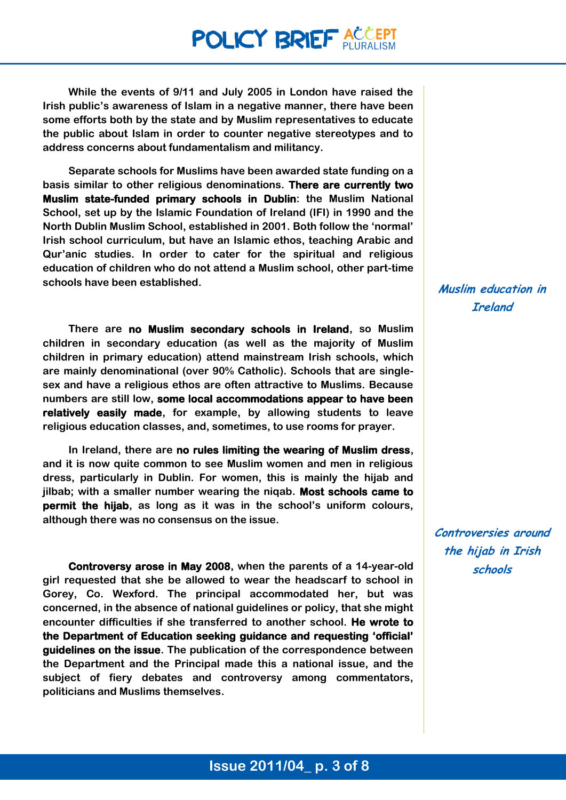## **POLICY BRIEF ACCEPT**

**While the events of 9/11 and July 2005 in London have raised the Irish public's awareness of Islam in a negative manner, there have been some efforts both by the state and by Muslim representatives to educate the public about Islam in order to counter negative stereotypes and to address concerns about fundamentalism and militancy.** 

**Separate schools for Muslims have been awarded state funding on a basis similar to other religious denominations. There are currently two Muslim state-funded primary schools in Dublin: the Muslim National School, set up by the Islamic Foundation of Ireland (IFI) in 1990 and the North Dublin Muslim School, established in 2001. Both follow the 'normal' Irish school curriculum, but have an Islamic ethos, teaching Arabic and Qur'anic studies. In order to cater for the spiritual and religious education of children who do not attend a Muslim school, other part-time schools have been established.** 

**There are no Muslim secondary schools in Ireland, so Muslim children in secondary education (as well as the majority of Muslim children in primary education) attend mainstream Irish schools, which are mainly denominational (over 90% Catholic). Schools that are singlesex and have a religious ethos are often attractive to Muslims. Because numbers are still low, some local accommodations appear to have been relatively easily made, for example, by allowing students to leave religious education classes, and, sometimes, to use rooms for prayer.** 

**In Ireland, there are no rules limiting the wearing of Muslim dress, and it is now quite common to see Muslim women and men in religious dress, particularly in Dublin. For women, this is mainly the hijab and jilbab; with a smaller number wearing the niqab. Most schools came to permit the hijab, as long as it was in the school's uniform colours, although there was no consensus on the issue.**

**Controversy arose in May 2008, when the parents of a 14-year-old girl requested that she be allowed to wear the headscarf to school in Gorey, Co. Wexford. The principal accommodated her, but was concerned, in the absence of national guidelines or policy, that she might encounter difficulties if she transferred to another school. He wrote to the Department of Education seeking guidance and requesting 'official' guidelines on the issue. The publication of the correspondence between the Department and the Principal made this a national issue, and the subject of fiery debates and controversy among commentators, politicians and Muslims themselves.** 

#### **Muslim education in Ireland**

**Controversies around the hijab in Irish schools**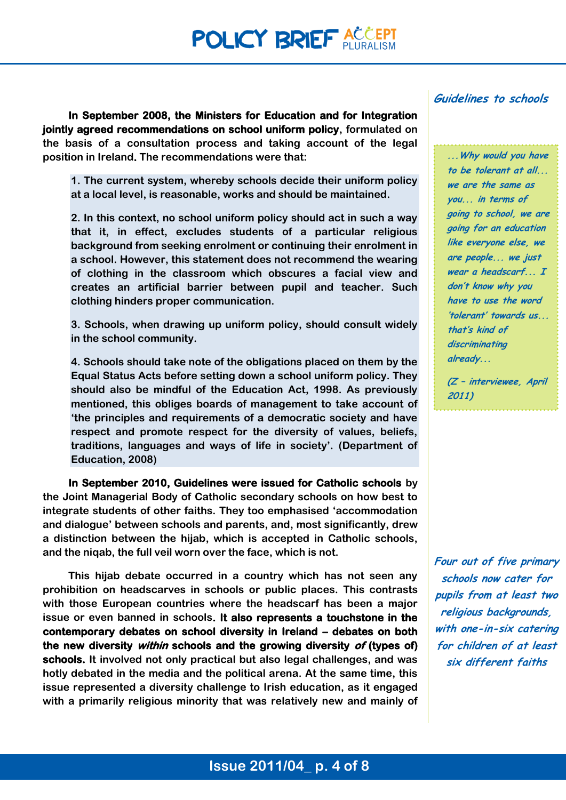**In September 2008, the Ministers for Education and for Integration jointly agreed recommendations on school uniform policy, formulated on the basis of a consultation process and taking account of the legal position in Ireland. The recommendations were that:** 

**1. The current system, whereby schools decide their uniform policy at a local level, is reasonable, works and should be maintained.** 

**2. In this context, no school uniform policy should act in such a way that it, in effect, excludes students of a particular religious background from seeking enrolment or continuing their enrolment in a school. However, this statement does not recommend the wearing of clothing in the classroom which obscures a facial view and creates an artificial barrier between pupil and teacher. Such clothing hinders proper communication.** 

**3. Schools, when drawing up uniform policy, should consult widely in the school community.** 

**4. Schools should take note of the obligations placed on them by the Equal Status Acts before setting down a school uniform policy. They should also be mindful of the Education Act, 1998. As previously mentioned, this obliges boards of management to take account of 'the principles and requirements of a democratic society and have respect and promote respect for the diversity of values, beliefs, traditions, languages and ways of life in society'. (Department of Education, 2008)**

**In September 2010, Guidelines were issued for Catholic schools by the Joint Managerial Body of Catholic secondary schools on how best to integrate students of other faiths. They too emphasised 'accommodation and dialogue' between schools and parents, and, most significantly, drew a distinction between the hijab, which is accepted in Catholic schools, and the niqab, the full veil worn over the face, which is not.**

**This hijab debate occurred in a country which has not seen any prohibition on headscarves in schools or public places. This contrasts with those European countries where the headscarf has been a major issue or even banned in schools. It also represents a touchstone in the contemporary debates on school diversity in Ireland – debates on both the new diversity within schools and the growing diversity of (types of) schools. It involved not only practical but also legal challenges, and was hotly debated in the media and the political arena. At the same time, this issue represented a diversity challenge to Irish education, as it engaged with a primarily religious minority that was relatively new and mainly of** 

#### **Guidelines to schools**

**...Why would you have to be tolerant at all... we are the same as you... in terms of going to school, we are going for an education like everyone else, we are people... we just wear a headscarf... I don't know why you have to use the word 'tolerant' towards us... that's kind of discriminating already...**

**(Z – interviewee, April 2011)**

**Four out of five primary schools now cater for pupils from at least two religious backgrounds, with one-in-six catering for children of at least six different faiths**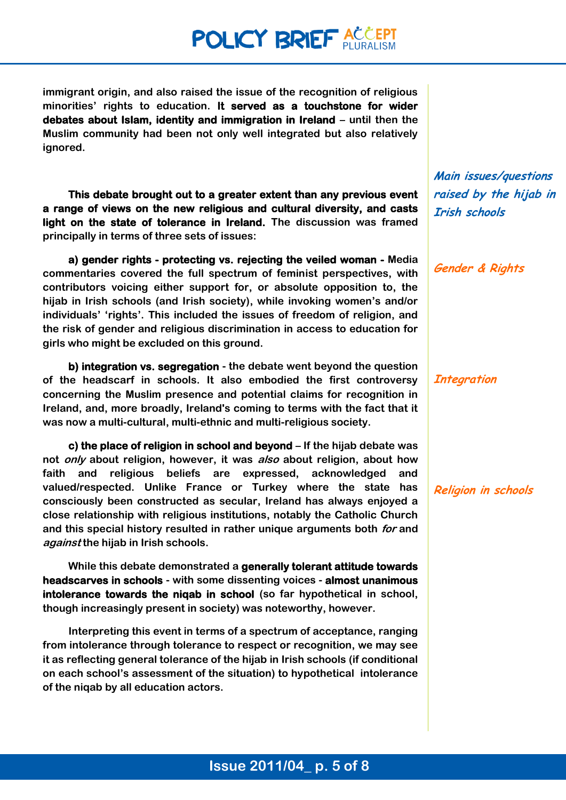## **POLICY BRIEF ACCEPT**

**immigrant origin, and also raised the issue of the recognition of religious minorities' rights to education. It served as a touchstone for wider debates about Islam, identity and immigration in Ireland – until then the Muslim community had been not only well integrated but also relatively ignored.**

**This debate brought out to a greater extent than any previous event a range of views on the new religious and cultural diversity, and casts light on the state of tolerance in Ireland. The discussion was framed principally in terms of three sets of issues:**

**a) gender rights - protecting vs. rejecting the veiled woman - Media commentaries covered the full spectrum of feminist perspectives, with contributors voicing either support for, or absolute opposition to, the hijab in Irish schools (and Irish society), while invoking women's and/or individuals' 'rights'. This included the issues of freedom of religion, and the risk of gender and religious discrimination in access to education for girls who might be excluded on this ground.**

**b) integration vs. segregation - the debate went beyond the question of the headscarf in schools. It also embodied the first controversy concerning the Muslim presence and potential claims for recognition in Ireland, and, more broadly, Ireland's coming to terms with the fact that it was now a multi-cultural, multi-ethnic and multi-religious society.**

**c) the place of religion in school and beyond – If the hijab debate was not only about religion, however, it was also about religion, about how faith and religious beliefs are expressed, acknowledged and valued/respected. Unlike France or Turkey where the state has consciously been constructed as secular, Ireland has always enjoyed a close relationship with religious institutions, notably the Catholic Church and this special history resulted in rather unique arguments both for and against the hijab in Irish schools.**

**While this debate demonstrated a generally tolerant attitude towards headscarves in schools - with some dissenting voices - almost unanimous intolerance towards the niqab in school (so far hypothetical in school, though increasingly present in society) was noteworthy, however.**

**Interpreting this event in terms of a spectrum of acceptance, ranging from intolerance through tolerance to respect or recognition, we may see it as reflecting general tolerance of the hijab in Irish schools (if conditional on each school's assessment of the situation) to hypothetical intolerance of the niqab by all education actors.**

**Main issues/questions raised by the hijab in Irish schools**

**Gender & Rights**

**Integration**

**Religion in schools**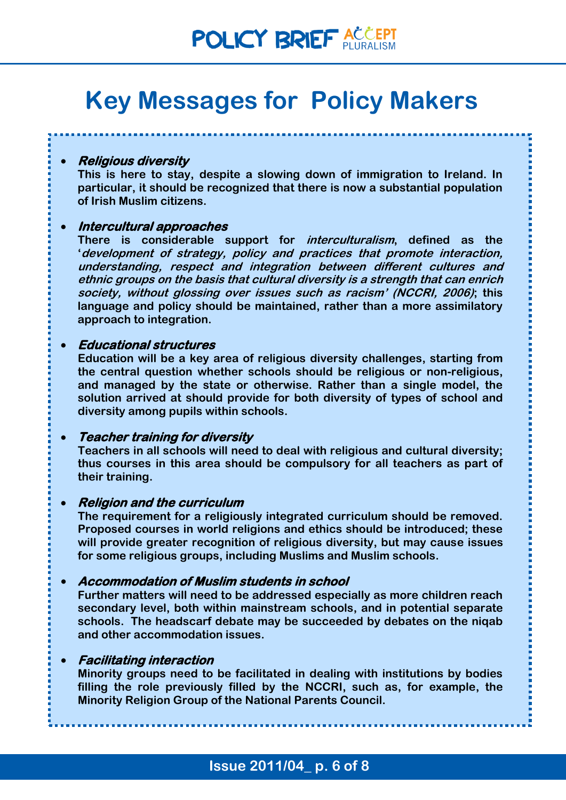## **Key Messages for Policy Makers**

**Religious diversity** 

**This is here to stay, despite a slowing down of immigration to Ireland. In particular, it should be recognized that there is now a substantial population of Irish Muslim citizens.**

#### **Intercultural approaches**

**There is considerable support for interculturalism, defined as the 'development of strategy, policy and practices that promote interaction, understanding, respect and integration between different cultures and ethnic groups on the basis that cultural diversity is a strength that can enrich society, without glossing over issues such as racism' (NCCRI, 2006); this language and policy should be maintained, rather than a more assimilatory approach to integration.**

#### **Educational structures**

**Education will be a key area of religious diversity challenges, starting from the central question whether schools should be religious or non-religious, and managed by the state or otherwise. Rather than a single model, the solution arrived at should provide for both diversity of types of school and diversity among pupils within schools.**

#### **Teacher training for diversity**

**Teachers in all schools will need to deal with religious and cultural diversity; thus courses in this area should be compulsory for all teachers as part of their training.**

#### **Religion and the curriculum**

**The requirement for a religiously integrated curriculum should be removed. Proposed courses in world religions and ethics should be introduced; these will provide greater recognition of religious diversity, but may cause issues for some religious groups, including Muslims and Muslim schools.**

#### **Accommodation of Muslim students in school**

**Further matters will need to be addressed especially as more children reach secondary level, both within mainstream schools, and in potential separate schools. The headscarf debate may be succeeded by debates on the niqab and other accommodation issues.**

#### **Facilitating interaction**

**Minority groups need to be facilitated in dealing with institutions by bodies filling the role previously filled by the NCCRI, such as, for example, the Minority Religion Group of the National Parents Council.**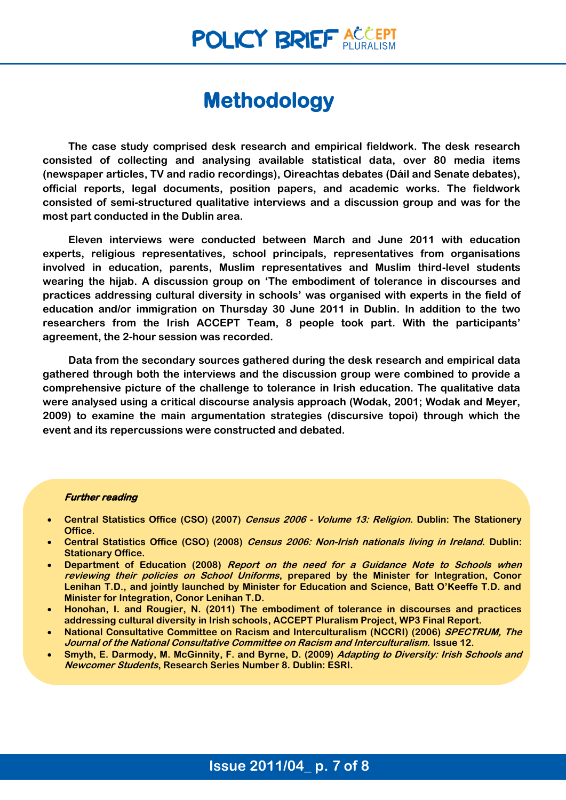### **Methodology**

**The case study comprised desk research and empirical fieldwork. The desk research consisted of collecting and analysing available statistical data, over 80 media items (newspaper articles, TV and radio recordings), Oireachtas debates (Dáil and Senate debates), official reports, legal documents, position papers, and academic works. The fieldwork consisted of semi-structured qualitative interviews and a discussion group and was for the most part conducted in the Dublin area.** 

**Eleven interviews were conducted between March and June 2011 with education experts, religious representatives, school principals, representatives from organisations involved in education, parents, Muslim representatives and Muslim third-level students wearing the hijab. A discussion group on 'The embodiment of tolerance in discourses and practices addressing cultural diversity in schools' was organised with experts in the field of education and/or immigration on Thursday 30 June 2011 in Dublin. In addition to the two researchers from the Irish ACCEPT Team, 8 people took part. With the participants' agreement, the 2-hour session was recorded.** 

**Data from the secondary sources gathered during the desk research and empirical data gathered through both the interviews and the discussion group were combined to provide a comprehensive picture of the challenge to tolerance in Irish education. The qualitative data were analysed using a critical discourse analysis approach (Wodak, 2001; Wodak and Meyer, 2009) to examine the main argumentation strategies (discursive topoi) through which the event and its repercussions were constructed and debated.**

#### **Further reading**

- **Central Statistics Office (CSO) (2007) Census 2006 - Volume 13: Religion. Dublin: The Stationery Office.**
- **Central Statistics Office (CSO) (2008) Census 2006: Non-Irish nationals living in Ireland. Dublin: Stationary Office.**
- **Department of Education (2008) Report on the need for a Guidance Note to Schools when reviewing their policies on School Uniforms, prepared by the Minister for Integration, Conor Lenihan T.D., and jointly launched by Minister for Education and Science, Batt O'Keeffe T.D. and Minister for Integration, Conor Lenihan T.D.**
- **Honohan, I. and Rougier, N. (2011) The embodiment of tolerance in discourses and practices addressing cultural diversity in Irish schools, ACCEPT Pluralism Project, WP3 Final Report.**
- **National Consultative Committee on Racism and Interculturalism (NCCRI) (2006) SPECTRUM, The Journal of the National Consultative Committee on Racism and Interculturalism. Issue 12.**
- **Smyth, E. Darmody, M. McGinnity, F. and Byrne, D. (2009) Adapting to Diversity: Irish Schools and Newcomer Students, Research Series Number 8. Dublin: ESRI.**